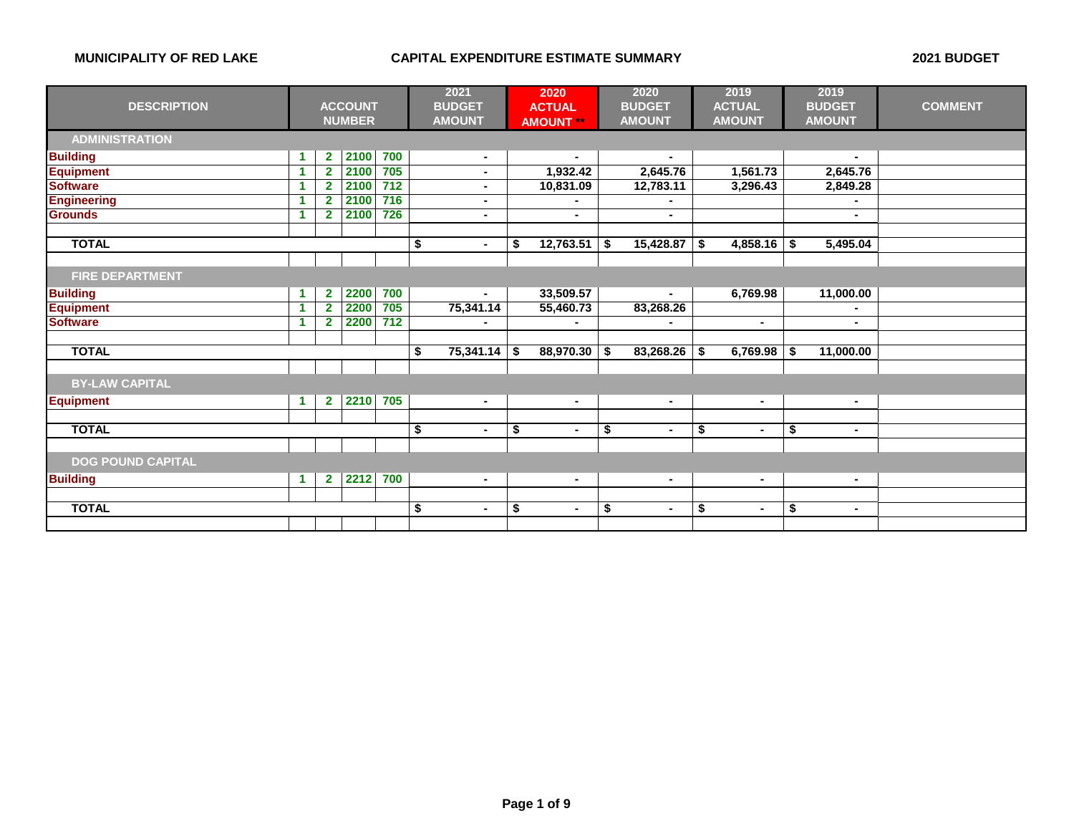|                          |    |                         |                |       | 2021 |                |                | 2020             | 2020                     |                |                | 2019           |                | 2019           |                |
|--------------------------|----|-------------------------|----------------|-------|------|----------------|----------------|------------------|--------------------------|----------------|----------------|----------------|----------------|----------------|----------------|
| <b>DESCRIPTION</b>       |    |                         | <b>ACCOUNT</b> |       |      | <b>BUDGET</b>  |                | <b>ACTUAL</b>    |                          | <b>BUDGET</b>  |                | <b>ACTUAL</b>  |                | <b>BUDGET</b>  | <b>COMMENT</b> |
|                          |    |                         | <b>NUMBER</b>  |       |      | <b>AMOUNT</b>  |                | <b>AMOUNT **</b> |                          | <b>AMOUNT</b>  |                | <b>AMOUNT</b>  |                | <b>AMOUNT</b>  |                |
| <b>ADMINISTRATION</b>    |    |                         |                |       |      |                |                |                  |                          |                |                |                |                |                |                |
| <b>Building</b>          | 1  | $\mathbf{2}$            | 2100           | 700   |      | $\blacksquare$ |                |                  |                          |                |                |                |                |                |                |
| <b>Equipment</b>         | 1  | $\overline{\mathbf{2}}$ | 2100           | 705   |      | $\blacksquare$ |                | 1,932.42         |                          | 2,645.76       |                | 1,561.73       |                | 2,645.76       |                |
| <b>Software</b>          |    | $\overline{2}$          | 2100           | $712$ |      |                |                | 10,831.09        |                          | 12,783.11      |                | 3,296.43       |                | 2,849.28       |                |
| <b>Engineering</b>       |    | $\overline{2}$          | 2100           | 716   |      |                |                |                  |                          |                |                |                |                |                |                |
| <b>Grounds</b>           |    | $\overline{2}$          | 2100           | 726   |      | $\blacksquare$ |                | $\sim$           |                          | $\blacksquare$ |                |                |                | $\sim$         |                |
|                          |    |                         |                |       |      |                |                |                  |                          |                |                |                |                |                |                |
| <b>TOTAL</b>             |    |                         |                |       | \$   |                | \$             | 12,763.51        | S.                       | 15,428.87      | - \$           | 4,858.16       | - \$           | 5,495.04       |                |
|                          |    |                         |                |       |      |                |                |                  |                          |                |                |                |                |                |                |
| <b>FIRE DEPARTMENT</b>   |    |                         |                |       |      |                |                |                  |                          |                |                |                |                |                |                |
| <b>Building</b>          |    | $\overline{\mathbf{2}}$ | 2200           | 700   |      |                |                | 33,509.57        |                          |                |                | 6,769.98       |                | 11,000.00      |                |
| <b>Equipment</b>         | -1 | $\overline{2}$          | 2200           | 705   |      | 75,341.14      |                | 55,460.73        |                          | 83,268.26      |                |                |                |                |                |
| <b>Software</b>          |    | $\overline{2}$          | 2200           | 712   |      |                |                | $\blacksquare$   |                          |                |                | ۰              |                | $\sim$         |                |
|                          |    |                         |                |       |      |                |                |                  |                          |                |                |                |                |                |                |
| <b>TOTAL</b>             |    |                         |                |       | \$   | 75,341.14      | S.             | 88,970.30        | \$                       | 83,268.26      | - \$           | 6,769.98       | \$             | 11,000.00      |                |
|                          |    |                         |                |       |      |                |                |                  |                          |                |                |                |                |                |                |
| <b>BY-LAW CAPITAL</b>    |    |                         |                |       |      |                |                |                  |                          |                |                |                |                |                |                |
| <b>Equipment</b>         |    | $\mathbf{2}$            | 2210           | 705   |      | $\blacksquare$ |                | $\blacksquare$   |                          | $\blacksquare$ |                | $\blacksquare$ |                | $\blacksquare$ |                |
|                          |    |                         |                |       |      |                |                |                  |                          |                |                |                |                |                |                |
| <b>TOTAL</b>             |    |                         |                |       | \$   | $\blacksquare$ | \$             | $\blacksquare$   | \$                       | $\blacksquare$ | \$             | $\blacksquare$ | \$             | $\blacksquare$ |                |
|                          |    |                         |                |       |      |                |                |                  |                          |                |                |                |                |                |                |
| <b>DOG POUND CAPITAL</b> |    |                         |                |       |      |                |                |                  |                          |                |                |                |                |                |                |
| <b>Building</b>          | 1  | $\mathbf{2}$            | 2212           | 700   |      | $\blacksquare$ |                | $\blacksquare$   |                          | $\blacksquare$ |                | $\blacksquare$ |                | $\blacksquare$ |                |
|                          |    |                         |                |       |      |                |                |                  |                          |                |                |                |                |                |                |
| <b>TOTAL</b>             |    |                         |                | \$    |      | \$             | $\blacksquare$ | \$               | $\overline{\phantom{0}}$ | \$             | $\blacksquare$ | \$             | $\blacksquare$ |                |                |
|                          |    |                         |                |       |      |                |                |                  |                          |                |                |                |                |                |                |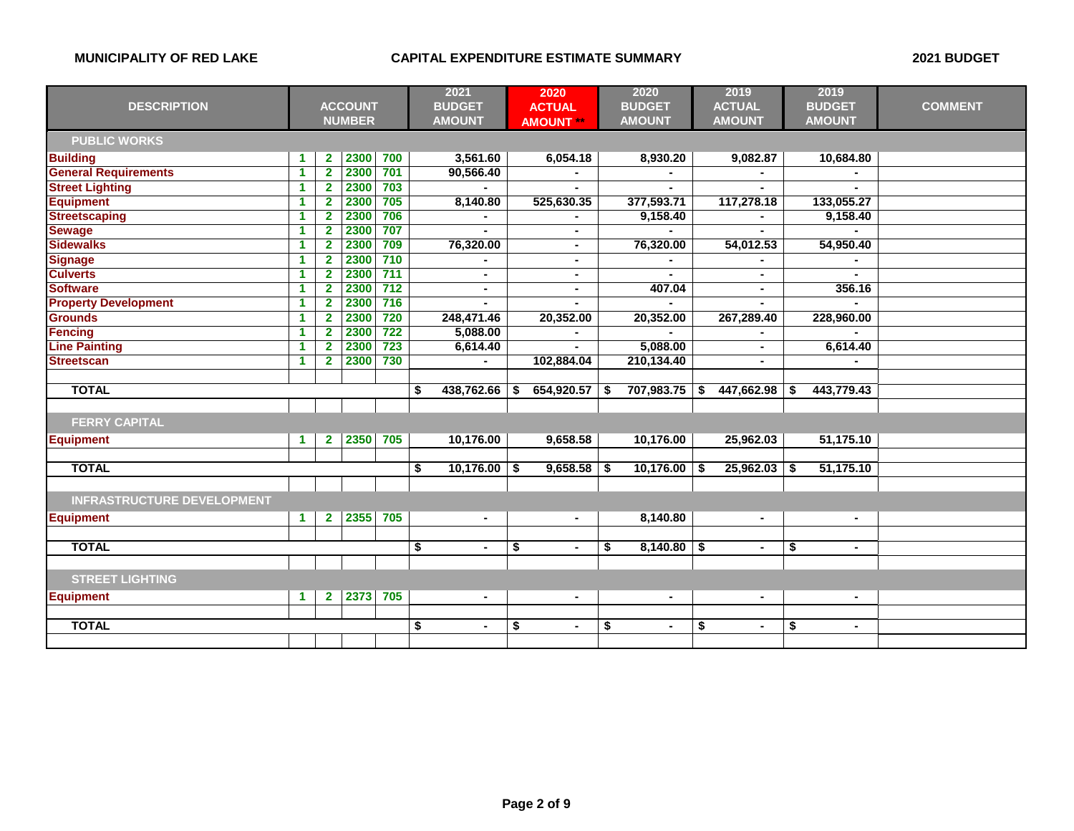|                                   |                      |                         |                |       | 2021                 |    | 2020             |    | 2020           |    | 2019           |    | 2019           |                |
|-----------------------------------|----------------------|-------------------------|----------------|-------|----------------------|----|------------------|----|----------------|----|----------------|----|----------------|----------------|
| <b>DESCRIPTION</b>                |                      |                         | <b>ACCOUNT</b> |       | <b>BUDGET</b>        |    | <b>ACTUAL</b>    |    | <b>BUDGET</b>  |    | <b>ACTUAL</b>  |    | <b>BUDGET</b>  | <b>COMMENT</b> |
|                                   |                      |                         | <b>NUMBER</b>  |       | <b>AMOUNT</b>        |    | <b>AMOUNT **</b> |    | <b>AMOUNT</b>  |    | <b>AMOUNT</b>  |    | <b>AMOUNT</b>  |                |
| <b>PUBLIC WORKS</b>               |                      |                         |                |       |                      |    |                  |    |                |    |                |    |                |                |
| <b>Building</b>                   | -1                   | $\mathbf{2}$            | 2300           | 700   | 3,561.60             |    | 6,054.18         |    | 8,930.20       |    | 9,082.87       |    | 10,684.80      |                |
| <b>General Requirements</b>       | 1                    | $\overline{\mathbf{2}}$ | 2300           | 701   | 90,566.40            |    |                  |    |                |    |                |    |                |                |
| <b>Street Lighting</b>            | 1                    | $\overline{2}$          | 2300           | 703   |                      |    | $\blacksquare$   |    |                |    | $\blacksquare$ |    |                |                |
| <b>Equipment</b>                  | 1                    | $\overline{2}$          | 2300           | 705   | 8,140.80             |    | 525,630.35       |    | 377,593.71     |    | 117,278.18     |    | 133,055.27     |                |
| <b>Streetscaping</b>              | $\blacktriangleleft$ | $\overline{\mathbf{2}}$ | 2300           | 706   |                      |    |                  |    | 9,158.40       |    |                |    | 9,158.40       |                |
| <b>Sewage</b>                     | -1                   | $\overline{2}$          | 2300           | 707   |                      |    |                  |    |                |    |                |    |                |                |
| <b>Sidewalks</b>                  | $\blacktriangleleft$ | $\overline{2}$          | 2300           | 709   | 76,320.00            |    | $\blacksquare$   |    | 76,320.00      |    | 54,012.53      |    | 54,950.40      |                |
| <b>Signage</b>                    | 1                    | $\overline{2}$          | 2300           | 710   |                      |    | $\blacksquare$   |    |                |    |                |    |                |                |
| <b>Culverts</b>                   | 1                    | $\overline{\mathbf{2}}$ | 2300           | 711   | $\blacksquare$       |    | $\blacksquare$   |    |                |    | $\blacksquare$ |    |                |                |
| <b>Software</b>                   | 1                    | $\overline{2}$          | 2300           | $712$ | $\blacksquare$       |    | $\blacksquare$   |    | 407.04         |    | $\blacksquare$ |    | 356.16         |                |
| <b>Property Development</b>       | 1                    | $\overline{\mathbf{2}}$ | 2300           | 716   |                      |    |                  |    |                |    |                |    |                |                |
| <b>Grounds</b>                    | $\blacktriangleleft$ | $\overline{\mathbf{2}}$ | 2300           | 720   | 248,471.46           |    | 20,352.00        |    | 20,352.00      |    | 267,289.40     |    | 228,960.00     |                |
| <b>Fencing</b>                    | $\blacktriangleleft$ | $\overline{\mathbf{2}}$ | 2300           | 722   | 5,088.00             |    |                  |    |                |    |                |    |                |                |
| <b>Line Painting</b>              | $\blacktriangleleft$ | $\overline{2}$          | 2300           | 723   | 6,614.40             |    |                  |    | 5,088.00       |    | $\blacksquare$ |    | 6,614.40       |                |
| <b>Streetscan</b>                 | -1                   | $\overline{2}$          | 2300           | 730   |                      |    | 102,884.04       |    | 210,134.40     |    | ٠              |    |                |                |
|                                   |                      |                         |                |       |                      |    |                  |    |                |    |                |    |                |                |
| <b>TOTAL</b>                      |                      |                         |                |       | \$<br>438,762.66     | S  | 654,920.57       | S  | 707,983.75     |    | 447,662.98     | S. | 443,779.43     |                |
|                                   |                      |                         |                |       |                      |    |                  |    |                |    |                |    |                |                |
| <b>FERRY CAPITAL</b>              |                      |                         |                |       |                      |    |                  |    |                |    |                |    |                |                |
| <b>Equipment</b>                  | 1                    | $\mathbf{2}$            | 2350           | 705   | 10,176.00            |    | 9,658.58         |    | 10,176.00      |    | 25,962.03      |    | 51,175.10      |                |
|                                   |                      |                         |                |       |                      |    |                  |    |                |    |                |    |                |                |
| <b>TOTAL</b>                      |                      |                         |                |       | \$<br>10,176.00      | \$ | 9,658.58         | \$ | 10,176.00      | -S | 25,962.03      | \$ | 51,175.10      |                |
|                                   |                      |                         |                |       |                      |    |                  |    |                |    |                |    |                |                |
| <b>INFRASTRUCTURE DEVELOPMENT</b> |                      |                         |                |       |                      |    |                  |    |                |    |                |    |                |                |
| <b>Equipment</b>                  | 1                    | $\mathbf{2}$            | 2355           | 705   | $\sim$               |    | $\blacksquare$   |    | 8,140.80       |    | $\sim$         |    | $\sim$         |                |
|                                   |                      |                         |                |       |                      |    |                  |    |                |    |                |    |                |                |
| <b>TOTAL</b>                      |                      |                         |                |       | \$<br>$\blacksquare$ | \$ | $\blacksquare$   | S  | $8,140.80$ \$  |    | $\blacksquare$ | \$ | $\blacksquare$ |                |
|                                   |                      |                         |                |       |                      |    |                  |    |                |    |                |    |                |                |
| <b>STREET LIGHTING</b>            |                      |                         |                |       |                      |    |                  |    |                |    |                |    |                |                |
| <b>Equipment</b>                  | 1                    | $\mathbf{2}$            | 2373           | 705   | $\blacksquare$       |    | $\blacksquare$   |    | $\blacksquare$ |    | $\blacksquare$ |    | $\sim$         |                |
|                                   |                      |                         |                |       |                      |    |                  |    |                |    |                |    |                |                |
| <b>TOTAL</b>                      |                      |                         |                |       | \$<br>$\blacksquare$ | \$ | $\blacksquare$   | \$ | $\blacksquare$ | \$ | $\blacksquare$ | \$ | $\sim$         |                |
|                                   |                      |                         |                |       |                      |    |                  |    |                |    |                |    |                |                |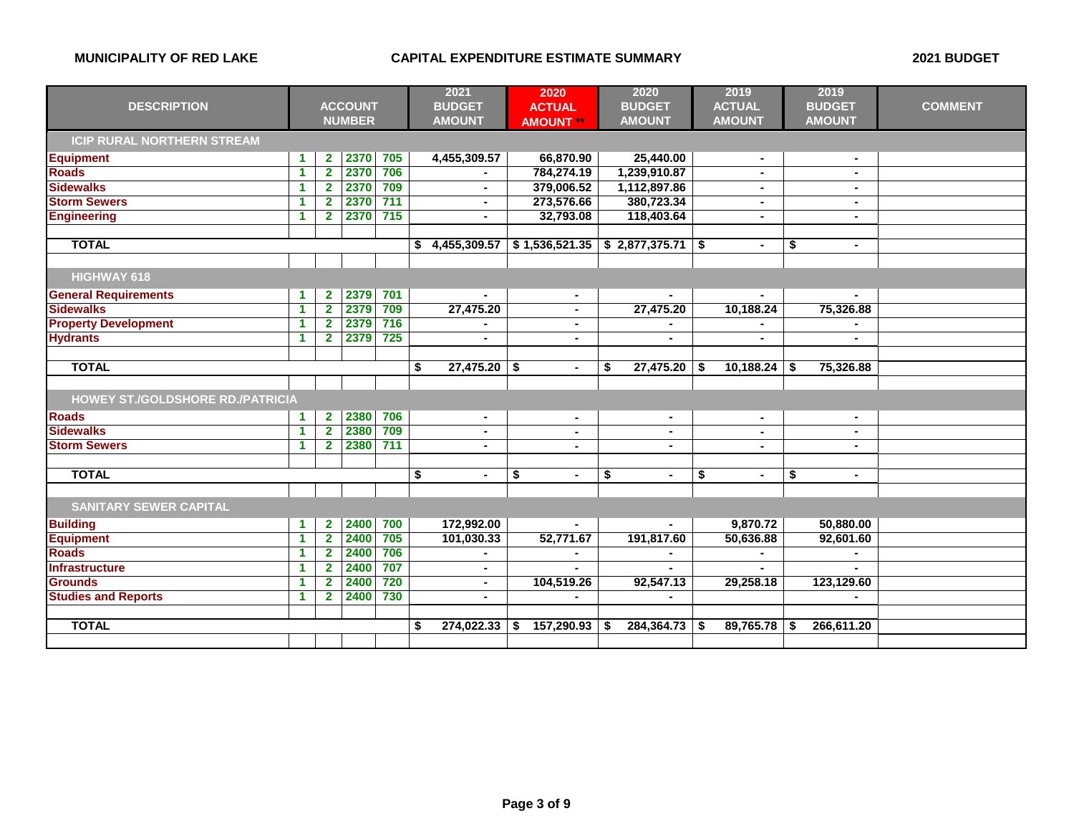|                                         |                      |                |                |       | 2021                 | 2020                 |    | 2020           |    | 2019           | 2019                 |                |
|-----------------------------------------|----------------------|----------------|----------------|-------|----------------------|----------------------|----|----------------|----|----------------|----------------------|----------------|
| <b>DESCRIPTION</b>                      |                      |                | <b>ACCOUNT</b> |       | <b>BUDGET</b>        | <b>ACTUAL</b>        |    | <b>BUDGET</b>  |    | <b>ACTUAL</b>  | <b>BUDGET</b>        | <b>COMMENT</b> |
|                                         |                      |                | <b>NUMBER</b>  |       | <b>AMOUNT</b>        | <b>AMOUNT **</b>     |    | <b>AMOUNT</b>  |    | <b>AMOUNT</b>  | <b>AMOUNT</b>        |                |
| <b>ICIP RURAL NORTHERN STREAM</b>       |                      |                |                |       |                      |                      |    |                |    |                |                      |                |
| <b>Equipment</b>                        | -1                   | $\overline{2}$ | 2370           | 705   | 4,455,309.57         | 66,870.90            |    | 25,440.00      |    |                |                      |                |
| <b>Roads</b>                            | $\blacktriangleleft$ | $\overline{2}$ | 2370           | 706   |                      | 784,274.19           |    | 1,239,910.87   |    | $\blacksquare$ | $\blacksquare$       |                |
| <b>Sidewalks</b>                        | $\blacktriangleleft$ | $\overline{2}$ | 2370           | 709   | $\blacksquare$       | 379,006.52           |    | 1,112,897.86   |    | $\sim$         | $\blacksquare$       |                |
| <b>Storm Sewers</b>                     | $\blacktriangleleft$ | $\mathbf{2}$   | 2370           | $711$ | $\blacksquare$       | 273,576.66           |    | 380,723.34     |    | $\sim$         | $\blacksquare$       |                |
| <b>Engineering</b>                      | -1                   | $\overline{2}$ | 2370           | 715   | $\blacksquare$       | 32,793.08            |    | 118,403.64     |    |                | $\blacksquare$       |                |
|                                         |                      |                |                |       |                      |                      |    |                |    |                |                      |                |
| <b>TOTAL</b>                            |                      |                |                |       | 4,455,309.57<br>s.   | \$1,536,521.35       |    | \$2,877,375.71 | \$ | $\blacksquare$ | \$<br>$\blacksquare$ |                |
|                                         |                      |                |                |       |                      |                      |    |                |    |                |                      |                |
| HIGHWAY 618                             |                      |                |                |       |                      |                      |    |                |    |                |                      |                |
| <b>General Requirements</b>             | -1                   | $\mathbf{2}$   | 2379           | 701   |                      | $\blacksquare$       |    |                |    |                |                      |                |
| <b>Sidewalks</b>                        | $\blacktriangleleft$ | $\mathbf{2}$   | 2379           | 709   | 27,475.20            | ä,                   |    | 27,475.20      |    | 10,188.24      | 75,326.88            |                |
| <b>Property Development</b>             | $\blacktriangleleft$ | $\overline{2}$ | 2379           | 716   |                      | $\blacksquare$       |    |                |    |                |                      |                |
| <b>Hydrants</b>                         | $\blacktriangleleft$ | $\mathbf{2}$   | 2379           | 725   | $\blacksquare$       | $\blacksquare$       |    | $\blacksquare$ |    | $\blacksquare$ | $\blacksquare$       |                |
|                                         |                      |                |                |       |                      |                      |    |                |    |                |                      |                |
| <b>TOTAL</b>                            |                      |                |                |       | 27,475.20<br>\$      | \$<br>$\blacksquare$ | \$ | 27,475.20      | \$ | 10,188.24      | \$<br>75,326.88      |                |
|                                         |                      |                |                |       |                      |                      |    |                |    |                |                      |                |
| <b>HOWEY ST./GOLDSHORE RD./PATRICIA</b> |                      |                |                |       |                      |                      |    |                |    |                |                      |                |
| <b>Roads</b>                            | -1                   | $\overline{2}$ | 2380           | 706   | $\blacksquare$       | $\blacksquare$       |    | $\blacksquare$ |    | $\sim$         | $\blacksquare$       |                |
| <b>Sidewalks</b>                        | $\blacktriangleleft$ | $\overline{2}$ | 2380           | 709   | $\blacksquare$       | $\blacksquare$       |    | $\blacksquare$ |    | $\blacksquare$ |                      |                |
| <b>Storm Sewers</b>                     | $\blacktriangleleft$ | $\overline{2}$ | 2380           | 711   |                      | ٠                    |    |                |    |                |                      |                |
|                                         |                      |                |                |       |                      |                      |    |                |    |                |                      |                |
| <b>TOTAL</b>                            |                      |                |                |       | \$<br>$\blacksquare$ | \$<br>$\blacksquare$ | \$ | $\blacksquare$ | \$ | $\sim$         | \$<br>$\sim$         |                |
|                                         |                      |                |                |       |                      |                      |    |                |    |                |                      |                |
| <b>SANITARY SEWER CAPITAL</b>           |                      |                |                |       |                      |                      |    |                |    |                |                      |                |
| <b>Building</b>                         | $\blacktriangleleft$ | $\mathbf{2}$   | 2400           | 700   | 172,992.00           |                      |    |                |    | 9,870.72       | 50,880.00            |                |
| <b>Equipment</b>                        | -1                   | $\overline{2}$ | 2400           | 705   | 101,030.33           | 52,771.67            |    | 191,817.60     |    | 50,636.88      | 92,601.60            |                |
| <b>Roads</b>                            | $\blacktriangleleft$ | $\mathbf{2}$   | 2400           | 706   |                      |                      |    |                |    |                |                      |                |
| <b>Infrastructure</b>                   | $\blacktriangleleft$ | $\mathbf{2}$   | 2400           | 707   | $\blacksquare$       |                      |    |                |    |                |                      |                |
| <b>Grounds</b>                          | 1                    | $\mathbf{2}$   | 2400           | 720   | $\blacksquare$       | 104,519.26           |    | 92,547.13      |    | 29,258.18      | 123,129.60           |                |
| <b>Studies and Reports</b>              | 1                    | $\mathbf{2}$   | 2400           | 730   | $\blacksquare$       |                      |    |                |    |                |                      |                |
|                                         |                      |                |                |       |                      |                      |    |                |    |                |                      |                |
| <b>TOTAL</b>                            |                      |                |                |       | 274,022.33<br>\$     | 157,290.93<br>\$     | S  | 284,364.73     | S. | 89,765.78      | \$<br>266,611.20     |                |
|                                         |                      |                |                |       |                      |                      |    |                |    |                |                      |                |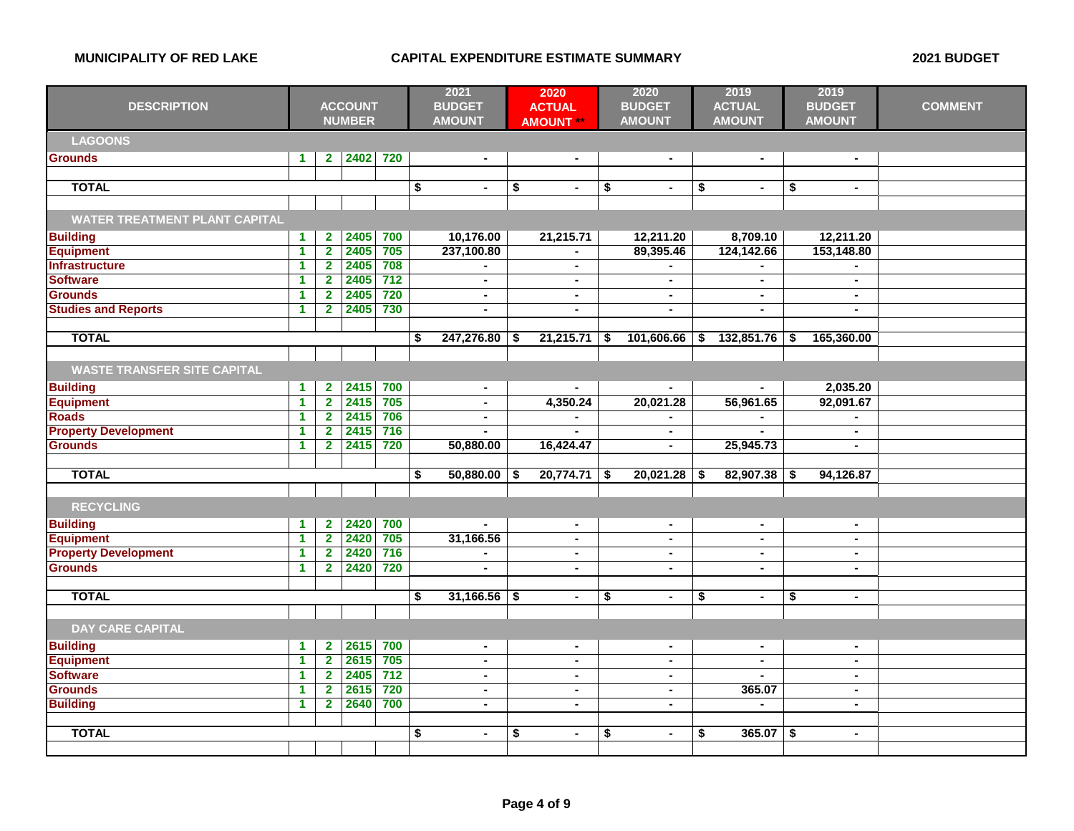| <b>DESCRIPTION</b>                   | <b>ACCOUNT</b><br><b>NUMBER</b> |                |      | 2021<br><b>BUDGET</b><br><b>AMOUNT</b> |    |                | 2020<br><b>ACTUAL</b><br><b>AMOUNT **</b> |                | 2020<br><b>BUDGET</b><br><b>AMOUNT</b> |                | 2019<br><b>ACTUAL</b><br><b>AMOUNT</b> |                | 2019<br><b>BUDGET</b><br><b>AMOUNT</b> | <b>COMMENT</b> |  |
|--------------------------------------|---------------------------------|----------------|------|----------------------------------------|----|----------------|-------------------------------------------|----------------|----------------------------------------|----------------|----------------------------------------|----------------|----------------------------------------|----------------|--|
| <b>LAGOONS</b>                       |                                 |                |      |                                        |    |                |                                           |                |                                        |                |                                        |                |                                        |                |  |
| <b>Grounds</b>                       | $\mathbf{1}$                    | 2 <sup>7</sup> | 2402 | 720                                    |    | $\blacksquare$ |                                           | $\blacksquare$ |                                        | $\blacksquare$ |                                        | $\blacksquare$ |                                        | $\blacksquare$ |  |
|                                      |                                 |                |      |                                        |    |                |                                           |                |                                        |                |                                        |                |                                        |                |  |
| <b>TOTAL</b>                         |                                 |                |      |                                        | \$ | $\blacksquare$ | \$                                        | $\blacksquare$ | \$                                     | $\blacksquare$ | \$                                     | $\blacksquare$ | \$                                     | $\sim$         |  |
|                                      |                                 |                |      |                                        |    |                |                                           |                |                                        |                |                                        |                |                                        |                |  |
| <b>WATER TREATMENT PLANT CAPITAL</b> |                                 |                |      |                                        |    |                |                                           |                |                                        |                |                                        |                |                                        |                |  |
| <b>Building</b>                      | $\blacktriangleleft$            | $\overline{2}$ | 2405 | 700                                    |    | 10,176.00      |                                           | 21,215.71      |                                        | 12,211.20      |                                        | 8,709.10       |                                        | 12,211.20      |  |
| <b>Equipment</b>                     | $\blacktriangleleft$            | $\overline{2}$ | 2405 | 705                                    |    | 237,100.80     |                                           | $\blacksquare$ |                                        | 89,395.46      |                                        | 124,142.66     |                                        | 153,148.80     |  |
| <b>Infrastructure</b>                | -1                              | $\mathbf{2}$   | 2405 | 708                                    |    |                |                                           | $\blacksquare$ |                                        |                |                                        |                |                                        |                |  |
| <b>Software</b>                      | $\blacktriangleleft$            | $\mathbf{2}$   | 2405 | $\overline{712}$                       |    | $\blacksquare$ |                                           | $\blacksquare$ |                                        | $\blacksquare$ |                                        | $\blacksquare$ |                                        |                |  |
| <b>Grounds</b>                       | $\blacktriangleleft$            | $\overline{2}$ | 2405 | 720                                    |    | $\blacksquare$ |                                           | $\blacksquare$ |                                        | $\blacksquare$ |                                        | $\blacksquare$ |                                        | $\sim$         |  |
| <b>Studies and Reports</b>           | $\blacktriangleleft$            | $\mathbf{2}$   | 2405 | 730                                    |    | $\blacksquare$ |                                           | $\blacksquare$ |                                        | $\blacksquare$ |                                        | $\blacksquare$ |                                        | $\sim$         |  |
|                                      |                                 |                |      |                                        |    |                |                                           |                |                                        |                |                                        |                |                                        |                |  |
| <b>TOTAL</b>                         |                                 |                |      |                                        | \$ | 247,276.80     | \$                                        | 21,215.71      | \$                                     | 101,606.66     | \$                                     | 132,851.76     | \$                                     | 165,360.00     |  |
|                                      |                                 |                |      |                                        |    |                |                                           |                |                                        |                |                                        |                |                                        |                |  |
| <b>WASTE TRANSFER SITE CAPITAL</b>   |                                 |                |      |                                        |    |                |                                           |                |                                        |                |                                        |                |                                        |                |  |
| <b>Building</b>                      | $\blacktriangleleft$            | $\mathbf{2}$   | 2415 | 700                                    |    | $\blacksquare$ |                                           |                |                                        | $\blacksquare$ |                                        |                |                                        | 2,035.20       |  |
| <b>Equipment</b>                     | $\blacktriangleleft$            | $\overline{2}$ | 2415 | 705                                    |    | $\blacksquare$ |                                           | 4,350.24       |                                        | 20,021.28      |                                        | 56,961.65      |                                        | 92,091.67      |  |
| <b>Roads</b>                         | $\blacktriangleleft$            | $\overline{2}$ | 2415 | 706                                    |    | $\blacksquare$ |                                           | $\blacksquare$ |                                        | ٠              |                                        | $\blacksquare$ |                                        | $\blacksquare$ |  |
| <b>Property Development</b>          | $\blacktriangleleft$            | $\overline{2}$ | 2415 | $716$                                  |    | $\blacksquare$ |                                           |                |                                        | $\blacksquare$ |                                        | ä.             |                                        | $\sim$         |  |
| <b>Grounds</b>                       | $\blacktriangleleft$            | $\overline{2}$ | 2415 | 720                                    |    | 50,880.00      |                                           | 16,424.47      |                                        | $\blacksquare$ |                                        | 25,945.73      |                                        | $\blacksquare$ |  |
|                                      |                                 |                |      |                                        |    |                |                                           |                |                                        |                |                                        |                |                                        |                |  |
| <b>TOTAL</b>                         |                                 |                |      |                                        | \$ | 50,880.00      | \$                                        | 20,774.71      | \$                                     | 20,021.28      | -\$                                    | 82,907.38      | \$                                     | 94,126.87      |  |
|                                      |                                 |                |      |                                        |    |                |                                           |                |                                        |                |                                        |                |                                        |                |  |
| <b>RECYCLING</b>                     |                                 |                |      |                                        |    |                |                                           |                |                                        |                |                                        |                |                                        |                |  |
| <b>Building</b>                      | $\blacktriangleleft$            | $\mathbf{2}$   | 2420 | 700                                    |    | $\blacksquare$ |                                           | $\blacksquare$ |                                        | $\blacksquare$ |                                        | $\blacksquare$ |                                        | $\sim$         |  |
| <b>Equipment</b>                     | $\blacktriangleleft$            | $\overline{2}$ | 2420 | 705                                    |    | 31,166.56      |                                           | $\blacksquare$ |                                        | $\blacksquare$ |                                        | $\blacksquare$ |                                        | $\blacksquare$ |  |
| <b>Property Development</b>          | $\blacktriangleleft$            | $\overline{2}$ | 2420 | 716                                    |    |                |                                           | $\blacksquare$ |                                        | $\blacksquare$ |                                        | $\blacksquare$ |                                        | $\sim$         |  |
| <b>Grounds</b>                       | $\blacktriangleleft$            | $\overline{2}$ | 2420 | 720                                    |    | $\blacksquare$ |                                           | $\blacksquare$ |                                        | $\blacksquare$ |                                        | $\blacksquare$ |                                        | $\blacksquare$ |  |
|                                      |                                 |                |      |                                        |    |                |                                           |                |                                        |                |                                        |                |                                        |                |  |
| <b>TOTAL</b>                         |                                 |                |      |                                        | \$ | 31,166.56      | \$                                        | $\blacksquare$ | \$                                     | $\blacksquare$ | \$                                     | $\blacksquare$ | \$                                     | $\blacksquare$ |  |
|                                      |                                 |                |      |                                        |    |                |                                           |                |                                        |                |                                        |                |                                        |                |  |
| <b>DAY CARE CAPITAL</b>              |                                 |                |      |                                        |    |                |                                           |                |                                        |                |                                        |                |                                        |                |  |
|                                      |                                 |                |      |                                        |    |                |                                           |                |                                        |                |                                        |                |                                        |                |  |
| <b>Building</b>                      | $\blacktriangleleft$            | $\overline{2}$ | 2615 | 700                                    |    | $\blacksquare$ |                                           | $\blacksquare$ |                                        | $\blacksquare$ |                                        | $\blacksquare$ |                                        | $\sim$         |  |
| <b>Equipment</b>                     | $\blacktriangleleft$            | $\overline{2}$ | 2615 | 705                                    |    | $\blacksquare$ |                                           | $\blacksquare$ |                                        | ÷              |                                        | $\blacksquare$ |                                        | $\blacksquare$ |  |
| <b>Software</b>                      | $\blacktriangleleft$            | $\mathbf{2}$   | 2405 | $712$                                  |    | $\blacksquare$ |                                           | $\blacksquare$ |                                        | $\blacksquare$ |                                        |                |                                        | $\blacksquare$ |  |
| <b>Grounds</b>                       | $\blacktriangleleft$            | $\overline{2}$ | 2615 | 720                                    |    | $\blacksquare$ |                                           | $\blacksquare$ |                                        | $\blacksquare$ |                                        | 365.07         |                                        | $\blacksquare$ |  |
| <b>Building</b>                      | $\blacktriangleleft$            | $\overline{2}$ | 2640 | 700                                    |    | $\blacksquare$ |                                           | $\blacksquare$ |                                        | $\blacksquare$ |                                        | $\blacksquare$ |                                        | $\sim$         |  |
|                                      |                                 |                |      |                                        |    |                |                                           |                |                                        |                |                                        |                |                                        |                |  |
| <b>TOTAL</b>                         |                                 |                |      |                                        | \$ |                | \$                                        | $\blacksquare$ | \$                                     | $\blacksquare$ | \$                                     | 365.07         | \$                                     | $\sim$         |  |
|                                      |                                 |                |      |                                        |    |                |                                           |                |                                        |                |                                        |                |                                        |                |  |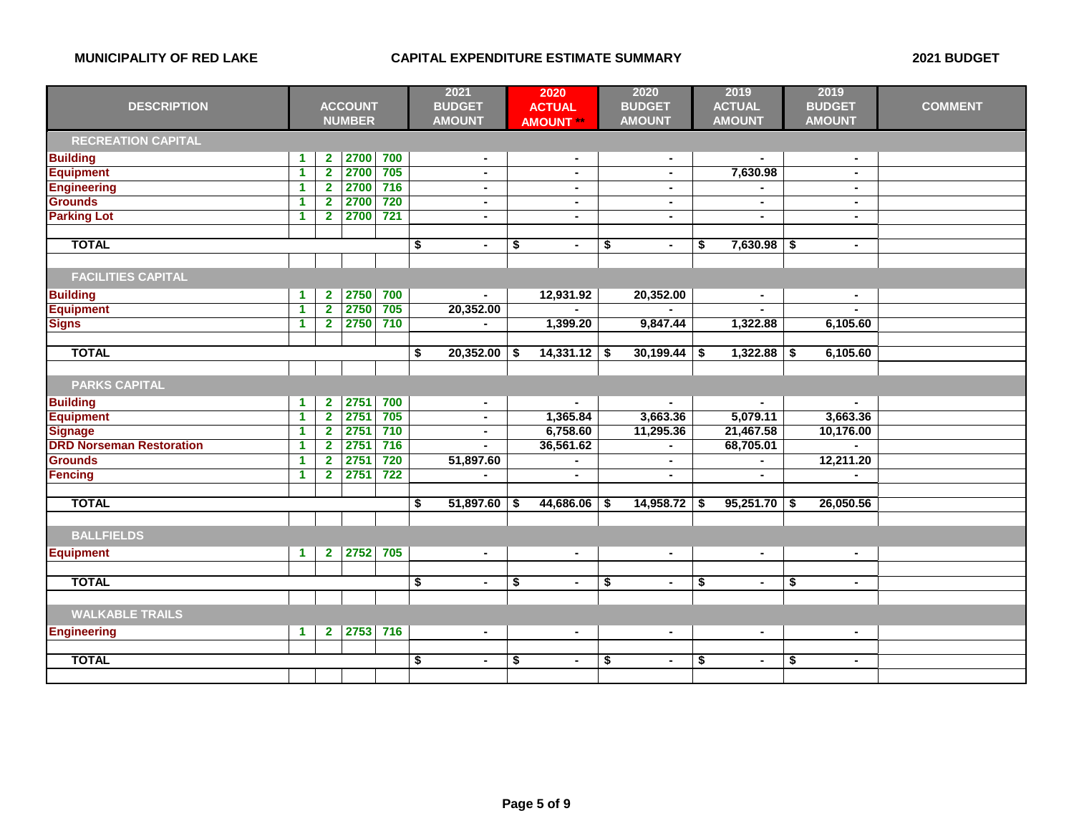| <b>DESCRIPTION</b>              | <b>ACCOUNT</b><br><b>NUMBER</b> |                         | 2021<br><b>BUDGET</b><br><b>AMOUNT</b> |     | 2020<br><b>ACTUAL</b><br><b>AMOUNT</b> |                | 2020<br><b>BUDGET</b><br><b>AMOUNT</b> |                | 2019<br><b>ACTUAL</b><br><b>AMOUNT</b> |                | 2019<br><b>BUDGET</b><br><b>AMOUNT</b> |                | <b>COMMENT</b> |                |  |
|---------------------------------|---------------------------------|-------------------------|----------------------------------------|-----|----------------------------------------|----------------|----------------------------------------|----------------|----------------------------------------|----------------|----------------------------------------|----------------|----------------|----------------|--|
| <b>RECREATION CAPITAL</b>       |                                 |                         |                                        |     |                                        |                |                                        |                |                                        |                |                                        |                |                |                |  |
| <b>Building</b>                 | 1                               | $\mathbf{2}$            | 2700                                   | 700 |                                        | $\blacksquare$ |                                        | $\blacksquare$ |                                        | $\blacksquare$ |                                        |                |                | $\blacksquare$ |  |
| <b>Equipment</b>                | $\blacktriangleleft$            | $\mathbf{2}$            | 2700                                   | 705 |                                        | $\sim$         |                                        | $\blacksquare$ |                                        | $\blacksquare$ |                                        | 7,630.98       |                | $\blacksquare$ |  |
| <b>Engineering</b>              | 1                               | $\overline{\mathbf{2}}$ | 2700                                   | 716 |                                        | $\blacksquare$ |                                        |                |                                        | $\blacksquare$ |                                        |                |                | $\blacksquare$ |  |
| <b>Grounds</b>                  | $\blacktriangleleft$            | $\mathbf{2}$            | 2700                                   | 720 |                                        | $\blacksquare$ |                                        | $\blacksquare$ |                                        | $\blacksquare$ |                                        | $\blacksquare$ |                | $\sim$         |  |
| <b>Parking Lot</b>              | 1                               | $\overline{\mathbf{2}}$ | 2700                                   | 721 |                                        | $\sim$         |                                        | $\blacksquare$ |                                        | $\blacksquare$ |                                        | $\blacksquare$ |                | $\sim$         |  |
|                                 |                                 |                         |                                        |     |                                        |                |                                        |                |                                        |                |                                        |                |                |                |  |
| <b>TOTAL</b>                    |                                 |                         |                                        |     | $\overline{\boldsymbol{\mathsf{s}}}$   | $\blacksquare$ | \$                                     | $\blacksquare$ | \$                                     | $\blacksquare$ | \$                                     | $7,630.98$ \$  |                | $\blacksquare$ |  |
|                                 |                                 |                         |                                        |     |                                        |                |                                        |                |                                        |                |                                        |                |                |                |  |
| <b>FACILITIES CAPITAL</b>       |                                 |                         |                                        |     |                                        |                |                                        |                |                                        |                |                                        |                |                |                |  |
| <b>Building</b>                 | 1                               | $\mathbf{2}$            | 2750                                   | 700 |                                        |                |                                        | 12,931.92      |                                        | 20,352.00      |                                        | $\blacksquare$ |                | $\sim$         |  |
| <b>Equipment</b>                | 1                               | $\overline{2}$          | 2750                                   | 705 |                                        | 20,352.00      |                                        |                |                                        |                |                                        |                |                |                |  |
| <b>Signs</b>                    | 1                               | $\mathbf{2}$            | 2750                                   | 710 |                                        |                |                                        | 1,399.20       |                                        | 9,847.44       |                                        | 1,322.88       |                | 6,105.60       |  |
|                                 |                                 |                         |                                        |     |                                        |                |                                        |                |                                        |                |                                        |                |                |                |  |
| <b>TOTAL</b>                    |                                 |                         |                                        |     | \$                                     | 20,352.00      | \$                                     | 14,331.12      | \$                                     | 30,199.44      | - \$                                   | 1,322.88       | \$             | 6,105.60       |  |
|                                 |                                 |                         |                                        |     |                                        |                |                                        |                |                                        |                |                                        |                |                |                |  |
| <b>PARKS CAPITAL</b>            |                                 |                         |                                        |     |                                        |                |                                        |                |                                        |                |                                        |                |                |                |  |
| <b>Building</b>                 | 1                               | $\mathbf{2}$            | 2751                                   | 700 |                                        |                |                                        |                |                                        |                |                                        |                |                |                |  |
| <b>Equipment</b>                | 1                               | $\overline{2}$          | 2751                                   | 705 |                                        | $\sim$         |                                        | 1,365.84       |                                        | 3,663.36       |                                        | 5,079.11       |                | 3,663.36       |  |
| <b>Signage</b>                  | 1                               | $\mathbf{2}$            | 2751                                   | 710 |                                        | $\blacksquare$ |                                        | 6,758.60       |                                        | 11,295.36      |                                        | 21,467.58      |                | 10,176.00      |  |
| <b>DRD Norseman Restoration</b> | 1                               | $\overline{\mathbf{2}}$ | 2751                                   | 716 |                                        | $\blacksquare$ |                                        | 36,561.62      |                                        | $\blacksquare$ |                                        | 68,705.01      |                |                |  |
| <b>Grounds</b>                  | 1                               | $\overline{\mathbf{2}}$ | 2751                                   | 720 |                                        | 51,897.60      |                                        |                |                                        | $\blacksquare$ |                                        |                |                | 12,211.20      |  |
| <b>Fencing</b>                  | $\blacktriangleleft$            | $\overline{2}$          | 2751                                   | 722 |                                        |                |                                        |                |                                        |                |                                        |                |                |                |  |
|                                 |                                 |                         |                                        |     |                                        |                |                                        |                |                                        |                |                                        |                |                |                |  |
| <b>TOTAL</b>                    |                                 |                         |                                        |     | \$                                     | 51,897.60      | S.                                     | 44,686.06      | S                                      | 14,958.72      | - 55                                   | 95,251.70      | - \$           | 26,050.56      |  |
|                                 |                                 |                         |                                        |     |                                        |                |                                        |                |                                        |                |                                        |                |                |                |  |
| <b>BALLFIELDS</b>               |                                 |                         |                                        |     |                                        |                |                                        |                |                                        |                |                                        |                |                |                |  |
| <b>Equipment</b>                | $\mathbf{1}$                    | $\mathbf{2}$            | 2752                                   | 705 |                                        | $\sim$         |                                        | $\blacksquare$ |                                        | $\blacksquare$ |                                        | $\blacksquare$ |                | $\sim$         |  |
|                                 |                                 |                         |                                        |     |                                        |                |                                        |                |                                        |                |                                        |                |                |                |  |
| <b>TOTAL</b>                    |                                 |                         |                                        |     | \$                                     | $\blacksquare$ | \$                                     | $\blacksquare$ | \$                                     | $\blacksquare$ | \$                                     | $\blacksquare$ | \$             | $\blacksquare$ |  |
|                                 |                                 |                         |                                        |     |                                        |                |                                        |                |                                        |                |                                        |                |                |                |  |
| <b>WALKABLE TRAILS</b>          |                                 |                         |                                        |     |                                        |                |                                        |                |                                        |                |                                        |                |                |                |  |
| <b>Engineering</b>              | $\blacktriangleleft$            | $\mathbf{2}$            | 2753 716                               |     |                                        | $\blacksquare$ |                                        | $\blacksquare$ |                                        | $\blacksquare$ |                                        | $\blacksquare$ |                | $\blacksquare$ |  |
|                                 |                                 |                         |                                        |     |                                        |                |                                        |                |                                        |                |                                        |                |                |                |  |
| <b>TOTAL</b>                    |                                 |                         |                                        |     | \$                                     | $\blacksquare$ | \$                                     | $\blacksquare$ | \$                                     | ٠              | \$                                     | $\blacksquare$ | \$             | $\blacksquare$ |  |
|                                 |                                 |                         |                                        |     |                                        |                |                                        |                |                                        |                |                                        |                |                |                |  |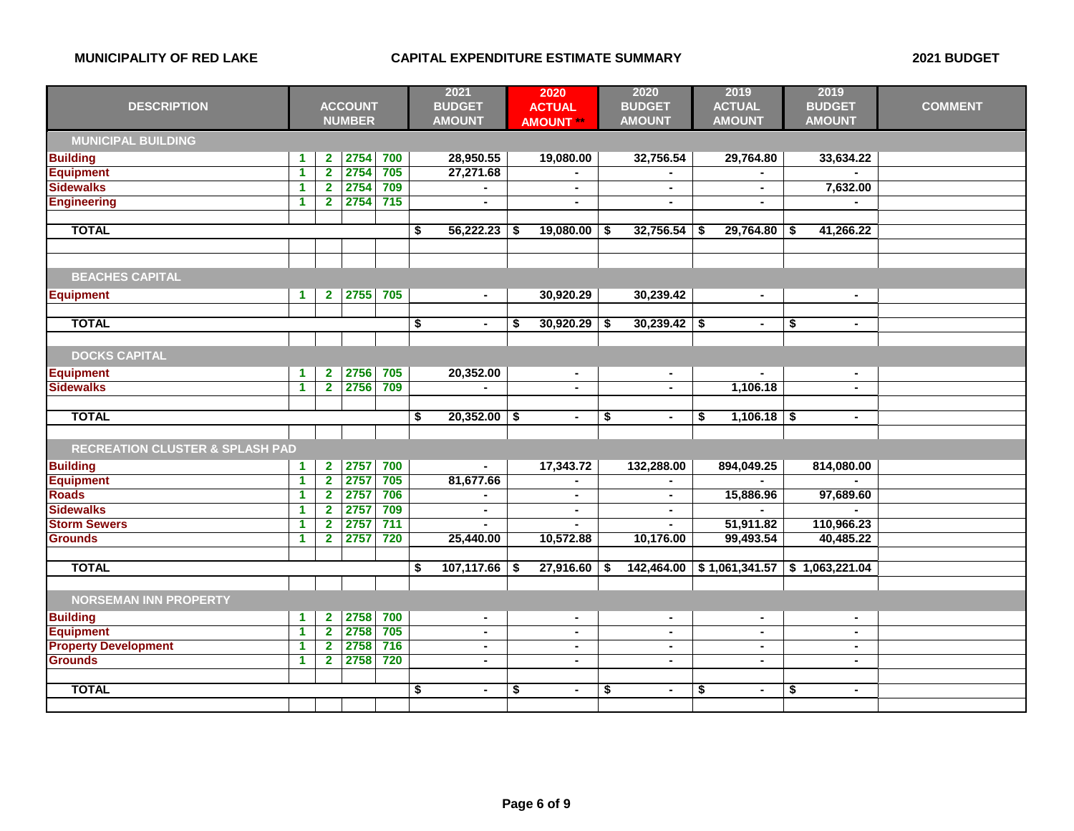|                                            |                      |                         |                | 2021             |                      | 2020 | 2020           |    | 2019           |    |                                 | 2019 |                |                |
|--------------------------------------------|----------------------|-------------------------|----------------|------------------|----------------------|------|----------------|----|----------------|----|---------------------------------|------|----------------|----------------|
| <b>DESCRIPTION</b>                         |                      |                         | <b>ACCOUNT</b> |                  | <b>BUDGET</b>        |      | <b>ACTUAL</b>  |    | <b>BUDGET</b>  |    | <b>ACTUAL</b>                   |      | <b>BUDGET</b>  | <b>COMMENT</b> |
|                                            |                      |                         | <b>NUMBER</b>  |                  | <b>AMOUNT</b>        |      | <b>AMOUNT</b>  |    | <b>AMOUNT</b>  |    | <b>AMOUNT</b>                   |      | <b>AMOUNT</b>  |                |
| <b>MUNICIPAL BUILDING</b>                  |                      |                         |                |                  |                      |      |                |    |                |    |                                 |      |                |                |
| <b>Building</b>                            | $\blacktriangleleft$ | $\mathbf{2}$            | 2754           | 700              | 28,950.55            |      | 19,080.00      |    | 32,756.54      |    | 29,764.80                       |      | 33,634.22      |                |
| <b>Equipment</b>                           | $\overline{1}$       | $\overline{2}$          | 2754           | 705              | 27,271.68            |      |                |    |                |    |                                 |      |                |                |
| <b>Sidewalks</b>                           | $\blacktriangleleft$ | $\overline{\mathbf{2}}$ | 2754           | 709              |                      |      | $\blacksquare$ |    |                |    | $\blacksquare$                  |      | 7,632.00       |                |
| <b>Engineering</b>                         | $\blacktriangleleft$ | $\overline{2}$          | 2754           | $715$            |                      |      | $\blacksquare$ |    |                |    | $\blacksquare$                  |      |                |                |
|                                            |                      |                         |                |                  |                      |      |                |    |                |    |                                 |      |                |                |
| <b>TOTAL</b>                               |                      |                         |                |                  | \$<br>56,222.23      | -S   | 19,080.00      | S. | 32,756.54      | S  | 29,764.80                       | - \$ | 41,266.22      |                |
|                                            |                      |                         |                |                  |                      |      |                |    |                |    |                                 |      |                |                |
|                                            |                      |                         |                |                  |                      |      |                |    |                |    |                                 |      |                |                |
| <b>BEACHES CAPITAL</b>                     |                      |                         |                |                  |                      |      |                |    |                |    |                                 |      |                |                |
| <b>Equipment</b>                           | $\blacktriangleleft$ | $\mathbf{2}$            | 2755           | 705              | $\blacksquare$       |      | 30,920.29      |    | 30,239.42      |    | $\blacksquare$                  |      | $\blacksquare$ |                |
|                                            |                      |                         |                |                  |                      |      |                |    |                |    |                                 |      |                |                |
| <b>TOTAL</b>                               |                      |                         |                |                  | \$<br>$\blacksquare$ | S    | 30,920.29      | S. | 30,239.42      | \$ | $\blacksquare$                  | \$   | $\blacksquare$ |                |
|                                            |                      |                         |                |                  |                      |      |                |    |                |    |                                 |      |                |                |
| <b>DOCKS CAPITAL</b>                       |                      |                         |                |                  |                      |      |                |    |                |    |                                 |      |                |                |
| <b>Equipment</b>                           | $\blacktriangleleft$ | $\mathbf{2}$            | 2756           | 705              | 20,352.00            |      | $\sim$         |    | $\sim$         |    |                                 |      | $\bullet$      |                |
| <b>Sidewalks</b>                           | $\blacktriangleleft$ | $\overline{2}$          | 2756           | 709              |                      |      | $\blacksquare$ |    |                |    | 1,106.18                        |      | $\blacksquare$ |                |
|                                            |                      |                         |                |                  |                      |      |                |    |                |    |                                 |      |                |                |
| <b>TOTAL</b>                               |                      |                         |                |                  | \$<br>$20,352.00$ \$ |      | $\blacksquare$ | \$ | $\blacksquare$ | \$ | $1,106.18$ \$                   |      | $\blacksquare$ |                |
|                                            |                      |                         |                |                  |                      |      |                |    |                |    |                                 |      |                |                |
| <b>RECREATION CLUSTER &amp; SPLASH PAD</b> |                      |                         |                |                  |                      |      |                |    |                |    |                                 |      |                |                |
| <b>Building</b>                            | $\blacktriangleleft$ | $\mathbf{2}$            | 2757           | 700              |                      |      | 17,343.72      |    | 132,288.00     |    | 894,049.25                      |      | 814,080.00     |                |
| <b>Equipment</b>                           | $\blacktriangleleft$ | $\overline{2}$          | 2757           | 705              | 81,677.66            |      | $\blacksquare$ |    |                |    |                                 |      |                |                |
| <b>Roads</b>                               | $\blacktriangleleft$ | $\overline{\mathbf{2}}$ | 2757           | 706              |                      |      | $\blacksquare$ |    |                |    | 15,886.96                       |      | 97,689.60      |                |
| <b>Sidewalks</b>                           | $\blacktriangleleft$ | $\overline{\mathbf{2}}$ | 2757           | 709              | $\blacksquare$       |      | $\sim$         |    | $\sim$         |    |                                 |      |                |                |
| <b>Storm Sewers</b>                        | $\blacktriangleleft$ | $\overline{2}$          | 2757           | 711              |                      |      |                |    |                |    | 51,911.82                       |      | 110,966.23     |                |
| <b>Grounds</b>                             | $\blacktriangleleft$ | $\overline{2}$          | 2757           | 720              | 25,440.00            |      | 10,572.88      |    | 10,176.00      |    | 99,493.54                       |      | 40,485.22      |                |
|                                            |                      |                         |                |                  |                      |      |                |    |                |    |                                 |      |                |                |
| <b>TOTAL</b>                               |                      |                         |                |                  | \$<br>107,117.66     | -\$  | 27,916.60      | \$ | 142,464.00     |    | $$1,061,341.57$ $$1,063,221.04$ |      |                |                |
|                                            |                      |                         |                |                  |                      |      |                |    |                |    |                                 |      |                |                |
| <b>NORSEMAN INN PROPERTY</b>               |                      |                         |                |                  |                      |      |                |    |                |    |                                 |      |                |                |
| <b>Building</b>                            | $\blacktriangleleft$ | $\mathbf{2}$            | 2758           | 700              | $\sim$               |      | $\sim$         |    | $\blacksquare$ |    | $\blacksquare$                  |      | $\sim$         |                |
| <b>Equipment</b>                           | $\blacktriangleleft$ | $\overline{2}$          | 2758           | 705              | $\sim$               |      | $\blacksquare$ |    | $\blacksquare$ |    | $\blacksquare$                  |      | $\blacksquare$ |                |
| <b>Property Development</b>                | $\blacktriangleleft$ | $\overline{\mathbf{2}}$ | 2758           | 716              | $\blacksquare$       |      | $\blacksquare$ |    | $\blacksquare$ |    | $\blacksquare$                  |      | ٠              |                |
| <b>Grounds</b>                             | $\blacktriangleleft$ | $\mathbf{2}$            | 2758           | $\overline{720}$ | $\blacksquare$       |      | $\blacksquare$ |    | $\sim$         |    | $\blacksquare$                  |      | $\blacksquare$ |                |
|                                            |                      |                         |                |                  |                      |      |                |    |                |    |                                 |      |                |                |
| <b>TOTAL</b>                               |                      |                         |                |                  | \$<br>$\blacksquare$ | \$   | $\blacksquare$ | \$ | $\blacksquare$ | \$ | $\blacksquare$                  | \$   | $\blacksquare$ |                |
|                                            |                      |                         |                |                  |                      |      |                |    |                |    |                                 |      |                |                |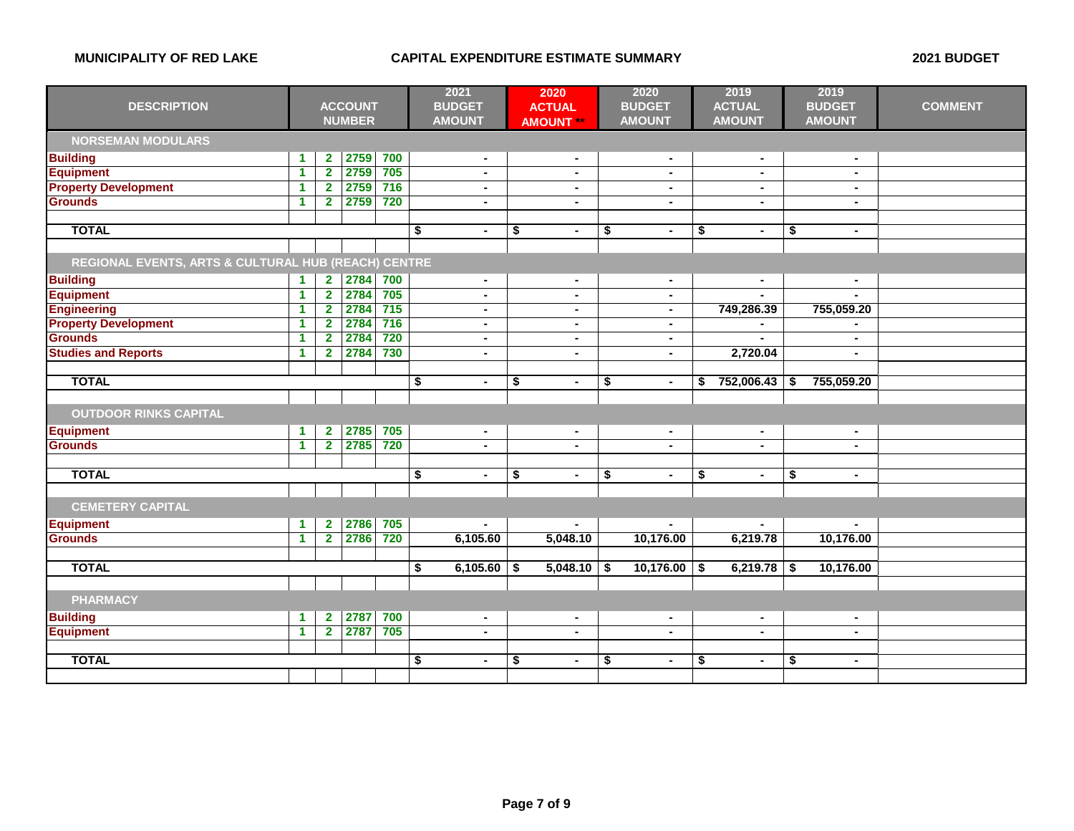|                                                     |                      |                | 2021           |     | 2020                                                   |                                      | 2020                     |    | 2019           |    | 2019            |     |                |                |
|-----------------------------------------------------|----------------------|----------------|----------------|-----|--------------------------------------------------------|--------------------------------------|--------------------------|----|----------------|----|-----------------|-----|----------------|----------------|
| <b>DESCRIPTION</b>                                  |                      |                | <b>ACCOUNT</b> |     | <b>BUDGET</b>                                          |                                      | <b>ACTUAL</b>            |    | <b>BUDGET</b>  |    | <b>ACTUAL</b>   |     | <b>BUDGET</b>  | <b>COMMENT</b> |
|                                                     |                      |                | <b>NUMBER</b>  |     | <b>AMOUNT</b>                                          |                                      | <b>AMOUNT **</b>         |    | <b>AMOUNT</b>  |    | <b>AMOUNT</b>   |     | <b>AMOUNT</b>  |                |
| <b>NORSEMAN MODULARS</b>                            |                      |                |                |     |                                                        |                                      |                          |    |                |    |                 |     |                |                |
| <b>Building</b>                                     | $\blacktriangleleft$ | $\mathbf{2}$   | 2759           | 700 | $\blacksquare$                                         |                                      | $\blacksquare$           |    | $\blacksquare$ |    | $\blacksquare$  |     | $\sim$         |                |
| <b>Equipment</b>                                    | $\mathbf{1}$         | $\overline{2}$ | 2759           | 705 | $\blacksquare$                                         |                                      | $\blacksquare$           |    | $\sim$         |    | $\blacksquare$  |     | $\blacksquare$ |                |
| <b>Property Development</b>                         | $\blacktriangleleft$ | $\overline{2}$ | 2759           | 716 | $\blacksquare$                                         |                                      | $\blacksquare$           |    | $\blacksquare$ |    | ۰               |     | $\blacksquare$ |                |
| <b>Grounds</b>                                      | 1                    | $\overline{2}$ | 2759           | 720 | $\blacksquare$                                         |                                      | $\sim$                   |    | $\sim$         |    | $\blacksquare$  |     | $\sim$         |                |
|                                                     |                      |                |                |     |                                                        |                                      |                          |    |                |    |                 |     |                |                |
| <b>TOTAL</b>                                        |                      |                |                |     | \$<br>$\blacksquare$                                   | \$                                   | $\blacksquare$           | \$ | $\blacksquare$ | \$ | $\blacksquare$  | \$  | $\blacksquare$ |                |
|                                                     |                      |                |                |     |                                                        |                                      |                          |    |                |    |                 |     |                |                |
| REGIONAL EVENTS, ARTS & CULTURAL HUB (REACH) CENTRE |                      |                |                |     |                                                        |                                      |                          |    |                |    |                 |     |                |                |
| <b>Building</b>                                     | $\blacktriangleleft$ | $\mathbf{2}$   | 2784           | 700 | $\sim$                                                 |                                      | $\blacksquare$           |    | $\blacksquare$ |    | $\blacksquare$  |     | $\sim$         |                |
| <b>Equipment</b>                                    | $\blacktriangleleft$ | $\overline{2}$ | 2784           | 705 | $\blacksquare$                                         |                                      | $\sim$                   |    |                |    |                 |     |                |                |
| <b>Engineering</b>                                  | 1                    | $\mathbf{2}$   | 2784           | 715 | $\blacksquare$                                         |                                      | $\blacksquare$           |    | $\blacksquare$ |    | 749,286.39      |     | 755,059.20     |                |
| <b>Property Development</b>                         | 1                    | $\mathbf{2}$   | 2784           | 716 | $\blacksquare$                                         |                                      | $\blacksquare$           |    | $\blacksquare$ |    |                 |     |                |                |
| <b>Grounds</b>                                      | 1                    | $\overline{2}$ | 2784           | 720 | $\blacksquare$                                         |                                      | $\blacksquare$           |    | $\sim$         |    | $\mathbf{r}$    |     | $\sim$         |                |
| <b>Studies and Reports</b>                          | 1                    | $\mathbf{2}$   | 2784           | 730 | $\blacksquare$                                         |                                      | $\sim$                   |    | $\blacksquare$ |    | 2,720.04        |     | $\sim$         |                |
|                                                     |                      |                |                |     |                                                        |                                      |                          |    |                |    |                 |     |                |                |
| <b>TOTAL</b>                                        |                      |                |                |     | $\overline{\boldsymbol{\mathsf{s}}}$<br>$\blacksquare$ | $\overline{\boldsymbol{\mathsf{s}}}$ | $\blacksquare$           | \$ | $\blacksquare$ | \$ | $752,006.43$ \$ |     | 755,059.20     |                |
|                                                     |                      |                |                |     |                                                        |                                      |                          |    |                |    |                 |     |                |                |
| <b>OUTDOOR RINKS CAPITAL</b>                        |                      |                |                |     |                                                        |                                      |                          |    |                |    |                 |     |                |                |
| <b>Equipment</b>                                    | $\blacktriangleleft$ | $\mathbf{2}$   | 2785           | 705 | $\blacksquare$                                         |                                      | $\sim$                   |    | $\blacksquare$ |    | $\blacksquare$  |     | $\blacksquare$ |                |
| <b>Grounds</b>                                      | $\mathbf{1}$         | $\overline{2}$ | 2785           | 720 | $\blacksquare$                                         |                                      | $\overline{\phantom{a}}$ |    | $\blacksquare$ |    | $\blacksquare$  |     | $\blacksquare$ |                |
|                                                     |                      |                |                |     |                                                        |                                      |                          |    |                |    |                 |     |                |                |
| <b>TOTAL</b>                                        |                      |                |                |     | \$<br>$\blacksquare$                                   | \$                                   | $\blacksquare$           | \$ | $\blacksquare$ | \$ | $\blacksquare$  | \$  | $\sim$         |                |
|                                                     |                      |                |                |     |                                                        |                                      |                          |    |                |    |                 |     |                |                |
| <b>CEMETERY CAPITAL</b>                             |                      |                |                |     |                                                        |                                      |                          |    |                |    |                 |     |                |                |
| <b>Equipment</b>                                    | 1                    | $\mathbf{2}$   | 2786           | 705 |                                                        |                                      |                          |    |                |    | ÷.              |     |                |                |
| <b>Grounds</b>                                      | $\blacktriangleleft$ | $\overline{2}$ | 2786           | 720 | 6,105.60                                               |                                      | 5,048.10                 |    | 10,176.00      |    | 6,219.78        |     | 10,176.00      |                |
|                                                     |                      |                |                |     |                                                        |                                      |                          |    |                |    |                 |     |                |                |
| <b>TOTAL</b>                                        |                      |                |                |     | \$<br>6,105.60                                         | S.                                   | 5,048.10                 | \$ | 10,176.00      | \$ | 6,219.78        | -\$ | 10,176.00      |                |
|                                                     |                      |                |                |     |                                                        |                                      |                          |    |                |    |                 |     |                |                |
| <b>PHARMACY</b>                                     |                      |                |                |     |                                                        |                                      |                          |    |                |    |                 |     |                |                |
| <b>Building</b>                                     | 1                    | $\mathbf{2}$   | 2787           | 700 | $\sim$                                                 |                                      | $\blacksquare$           |    | $\sim$         |    | $\blacksquare$  |     | $\blacksquare$ |                |
| <b>Equipment</b>                                    | $\blacktriangleleft$ | $\overline{2}$ | 2787           | 705 | $\blacksquare$                                         |                                      | $\blacksquare$           |    | $\sim$         |    | $\blacksquare$  |     | $\blacksquare$ |                |
|                                                     |                      |                |                |     |                                                        |                                      |                          |    |                |    |                 |     |                |                |
| <b>TOTAL</b>                                        |                      |                |                |     | \$<br>$\blacksquare$                                   | \$                                   | $\blacksquare$           | \$ | $\blacksquare$ | \$ | $\blacksquare$  | \$  | $\sim$         |                |
|                                                     |                      |                |                |     |                                                        |                                      |                          |    |                |    |                 |     |                |                |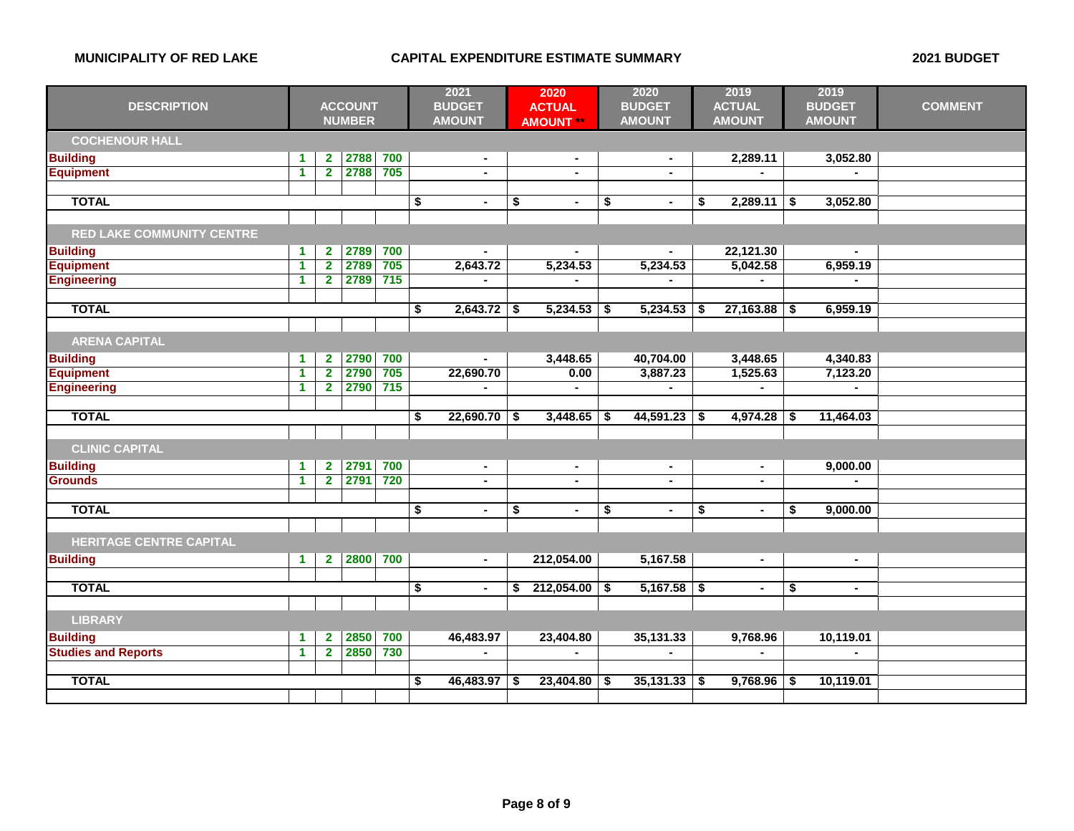|                                  |                      |                         | 2021           |       | 2020 |                |    | 2020             | 2019 |                | 2019                 |      |                |                |
|----------------------------------|----------------------|-------------------------|----------------|-------|------|----------------|----|------------------|------|----------------|----------------------|------|----------------|----------------|
| <b>DESCRIPTION</b>               |                      |                         | <b>ACCOUNT</b> |       |      | <b>BUDGET</b>  |    | <b>ACTUAL</b>    |      | <b>BUDGET</b>  | <b>ACTUAL</b>        |      | <b>BUDGET</b>  | <b>COMMENT</b> |
|                                  |                      |                         | <b>NUMBER</b>  |       |      | <b>AMOUNT</b>  |    | <b>AMOUNT **</b> |      | <b>AMOUNT</b>  | <b>AMOUNT</b>        |      | <b>AMOUNT</b>  |                |
| <b>COCHENOUR HALL</b>            |                      |                         |                |       |      |                |    |                  |      |                |                      |      |                |                |
| <b>Building</b>                  | $\blacktriangleleft$ | $\overline{\mathbf{2}}$ | 2788           | 700   |      | $\blacksquare$ |    | $\blacksquare$   |      |                | 2,289.11             |      | 3,052.80       |                |
| <b>Equipment</b>                 | $\blacktriangleleft$ | $\overline{2}$          | 2788           | 705   |      | $\blacksquare$ |    | $\blacksquare$   |      | $\blacksquare$ | $\blacksquare$       |      |                |                |
|                                  |                      |                         |                |       |      |                |    |                  |      |                |                      |      |                |                |
| <b>TOTAL</b>                     |                      |                         |                |       | \$   | $\blacksquare$ | \$ | $\blacksquare$   | \$   | $\blacksquare$ | \$<br>2,289.11       | -\$  | 3,052.80       |                |
|                                  |                      |                         |                |       |      |                |    |                  |      |                |                      |      |                |                |
| <b>RED LAKE COMMUNITY CENTRE</b> |                      |                         |                |       |      |                |    |                  |      |                |                      |      |                |                |
| <b>Building</b>                  | $\blacktriangleleft$ | $\mathbf{2}$            | 2789           | 700   |      | $\sim$         |    |                  |      |                | 22,121.30            |      | $\sim$         |                |
| <b>Equipment</b>                 | $\overline{1}$       | $\overline{2}$          | 2789           | 705   |      | 2,643.72       |    | 5,234.53         |      | 5,234.53       | 5,042.58             |      | 6,959.19       |                |
| <b>Engineering</b>               | $\blacktriangleleft$ | $\overline{\mathbf{2}}$ | 2789           | $715$ |      | $\blacksquare$ |    |                  |      |                | $\blacksquare$       |      | $\blacksquare$ |                |
|                                  |                      |                         |                |       |      |                |    |                  |      |                |                      |      |                |                |
| <b>TOTAL</b>                     |                      |                         |                |       | \$   | 2,643.72       | \$ | 5,234.53         | \$   | 5,234.53       | \$<br>27,163.88      | \$   | 6,959.19       |                |
|                                  |                      |                         |                |       |      |                |    |                  |      |                |                      |      |                |                |
| <b>ARENA CAPITAL</b>             |                      |                         |                |       |      |                |    |                  |      |                |                      |      |                |                |
| <b>Building</b>                  | $\blacktriangleleft$ | $\mathbf{2}$            | 2790           | 700   |      | $\sim$         |    | 3,448.65         |      | 40,704.00      | 3,448.65             |      | 4,340.83       |                |
| <b>Equipment</b>                 | $\blacktriangleleft$ | $\overline{\mathbf{2}}$ | 2790           | 705   |      | 22,690.70      |    | 0.00             |      | 3,887.23       | 1,525.63             |      | 7,123.20       |                |
| <b>Engineering</b>               | $\blacktriangleleft$ | $\overline{2}$          | 2790           | 715   |      |                |    |                  |      |                |                      |      |                |                |
| <b>TOTAL</b>                     |                      |                         |                |       | \$   | 22,690.70      | \$ | 3,448.65         |      | 44,591.23      | \$<br>4,974.28       | -\$  | 11,464.03      |                |
|                                  |                      |                         |                |       |      |                |    |                  | S.   |                |                      |      |                |                |
| <b>CLINIC CAPITAL</b>            |                      |                         |                |       |      |                |    |                  |      |                |                      |      |                |                |
| <b>Building</b>                  | $\blacktriangleleft$ | $\mathbf{2}$            | 2791           | 700   |      | $\sim$         |    | $\blacksquare$   |      | $\sim$         | $\sim$               |      | 9,000.00       |                |
| <b>Grounds</b>                   | $\blacktriangleleft$ | $\overline{2}$          | 2791           | 720   |      | $\blacksquare$ |    | $\blacksquare$   |      | $\blacksquare$ | $\blacksquare$       |      |                |                |
|                                  |                      |                         |                |       |      |                |    |                  |      |                |                      |      |                |                |
| <b>TOTAL</b>                     |                      |                         |                |       | \$   | $\blacksquare$ | \$ | $\blacksquare$   | \$   | $\blacksquare$ | \$<br>$\blacksquare$ | \$   | 9,000.00       |                |
|                                  |                      |                         |                |       |      |                |    |                  |      |                |                      |      |                |                |
| <b>HERITAGE CENTRE CAPITAL</b>   |                      |                         |                |       |      |                |    |                  |      |                |                      |      |                |                |
| <b>Building</b>                  | $\mathbf{1}$         | $\mathbf{2}$            | 2800           | 700   |      | $\blacksquare$ |    | 212,054.00       |      | 5,167.58       | $\blacksquare$       |      | $\sim$         |                |
|                                  |                      |                         |                |       |      |                |    |                  |      |                |                      |      |                |                |
| <b>TOTAL</b>                     |                      |                         |                |       | \$   | $\blacksquare$ | \$ | 212,054.00       | \$   | $5,167.58$ \$  | $\blacksquare$       | \$   | $\blacksquare$ |                |
|                                  |                      |                         |                |       |      |                |    |                  |      |                |                      |      |                |                |
| <b>LIBRARY</b>                   |                      |                         |                |       |      |                |    |                  |      |                |                      |      |                |                |
| <b>Building</b>                  | $\blacktriangleleft$ | $\mathbf{2}$            | 2850           | 700   |      | 46,483.97      |    | 23,404.80        |      | 35,131.33      | 9,768.96             |      | 10,119.01      |                |
| <b>Studies and Reports</b>       | $\blacktriangleleft$ | $\overline{2}$          | 2850           | 730   |      |                |    |                  |      |                |                      |      |                |                |
|                                  |                      |                         |                |       |      |                |    |                  |      |                |                      |      |                |                |
| <b>TOTAL</b>                     |                      |                         |                |       | \$   | 46,483.97      |    | 23,404.80        | S    | 35,131.33      | \$<br>9,768.96       | - \$ | 10,119.01      |                |
|                                  |                      |                         |                |       |      |                |    |                  |      |                |                      |      |                |                |